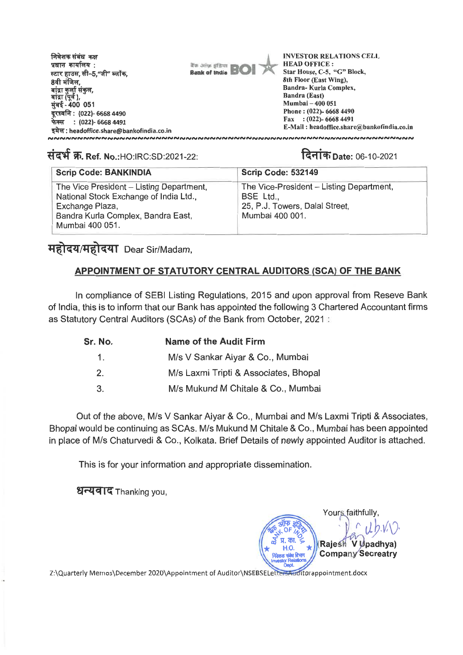निवेशक संबंध कक्ष **INVESTOR RELATIONS CELL**  प्रधान कार्यालय: **HEAD OFFICE :**  *Bank* **of India Bal Star House, C-5, "G" Block,**  स्टार हाउस, सी–5,"जी" ब्लॉक, **8th Floor (East Wing),**  8वी मंजिल. **Bandra- Kurla Complex,**  बांद्रा कुर्ला संकुल,<br>बांद्रा (पूर्व ), **Sandra (East) Mumbai — 400 051**  मुंबई - 400 051 **Phone : (022)- 6668 4490**  दरध्वनि : **(022)- 6668 4490 Fax : (022)- 6668 4491 irffr : (022)- 6668 4491 E-Mail : headoffice.share@bankofindia.co.in headoffice.share@bankofindia.co.in** 

## संदर्भ क्र. Ref. No.:HO:IRC:SD:2021-22: **Internal and Parties Date: 06-10-2021**

| <b>Scrip Code: BANKINDIA</b>                                                                                                                                   | <b>Scrip Code: 532149</b>                                                                                  |
|----------------------------------------------------------------------------------------------------------------------------------------------------------------|------------------------------------------------------------------------------------------------------------|
| The Vice President - Listing Department,<br>National Stock Exchange of India Ltd.,<br>Exchange Plaza,<br>Bandra Kurla Complex, Bandra East,<br>Mumbai 400 051. | The Vice-President - Listing Department,<br>BSE Ltd.,<br>25, P.J. Towers, Dalal Street,<br>Mumbai 400 001. |

## **महोदय/महोदया Dear Sir/Madam,**

## **APPOINTMENT OF STATUTORY CENTRAL AUDITORS (SCA) OF THE BANK**

**In compliance of SEBI Listing Regulations, 2015 and upon approval from Reseve Bank of India, this is to inform that our Bank has appointed the following 3 Chartered Accountant firms as Statutory Central Auditors (SCAs) of the Bank from October, 2021 :** 

| Sr. No.       | <b>Name of the Audit Firm</b>         |  |  |
|---------------|---------------------------------------|--|--|
| $1_{-}$       | M/s V Sankar Aiyar & Co., Mumbai      |  |  |
| $\mathcal{P}$ | M/s Laxmi Tripti & Associates, Bhopal |  |  |
| 3.            | M/s Mukund M Chitale & Co., Mumbai    |  |  |

**Out of the above, M/s V Sankar Aiyar & Co., Mumbai and M/s Laxmi Tripti & Associates, Bhopal would be continuing as SCAs. M/s Mukund M Chitale & Co., Mumbai has been appointed in place of M/s Chaturvedi & Co., Kolkata. Brief Details of newly appointed Auditor is attached.** 

**This is for your information and appropriate dissemination.** 

**URT-417** Thanking you,

Yours faithfully, **Rajesh V U padhya) Company Secreatry** 

Z:\Quarterly Memos\December 2020\Appointment of Auditor\NSEBSELetter<del>sAud</del> itorappointment.docx